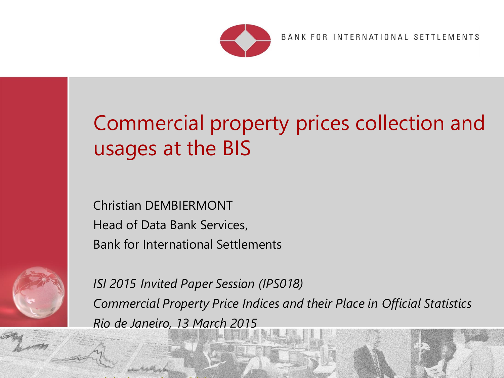

BANK FOR INTERNATIONAL SETTLEMENTS

 $\begin{array}{ccccc} \mathbf{0} & \mathbf{0} & \mathbf{0} & \mathbf{0} & \mathbf{0} & \mathbf{0} & \mathbf{0} & \mathbf{0} & \mathbf{0} & \mathbf{0} & \mathbf{0} & \mathbf{0} & \mathbf{0} & \mathbf{0} & \mathbf{0} & \mathbf{0} & \mathbf{0} & \mathbf{0} & \mathbf{0} & \mathbf{0} & \mathbf{0} & \mathbf{0} & \mathbf{0} & \mathbf{0} & \mathbf{0} & \mathbf{0} & \mathbf{0} & \mathbf{0} & \mathbf{0} & \mathbf{0} & \math$ 

# Commercial property prices collection and usages at the BIS

Christian DEMBIERMONT Head of Data Bank Services, Bank for International Settlements

michela.com/windows.com/windows/windows/windows/windows/windows/windows/windows/



*ISI 2015 Invited Paper Session (IPS018) Commercial Property Price Indices and their Place in Official Statistics Rio de Janeiro, 13 March 2015*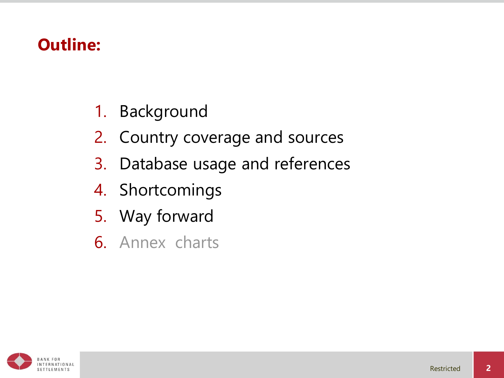### **Outline:**

- 1. Background
- 2. Country coverage and sources
- 3. Database usage and references
- 4. Shortcomings
- 5. Way forward
- 6. Annex charts

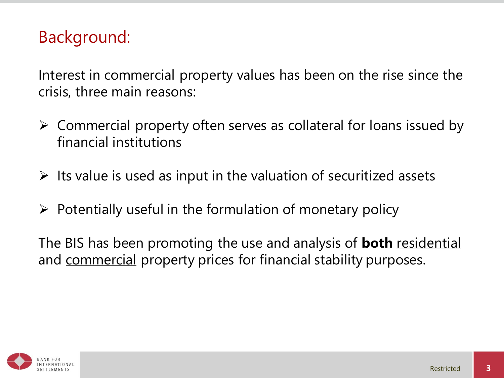Interest in commercial property values has been on the rise since the crisis, three main reasons:

- $\triangleright$  Commercial property often serves as collateral for loans issued by financial institutions
- $\triangleright$  Its value is used as input in the valuation of securitized assets
- $\triangleright$  Potentially useful in the formulation of monetary policy

The BIS has been promoting the use and analysis of **both** residential and commercial property prices for financial stability purposes.

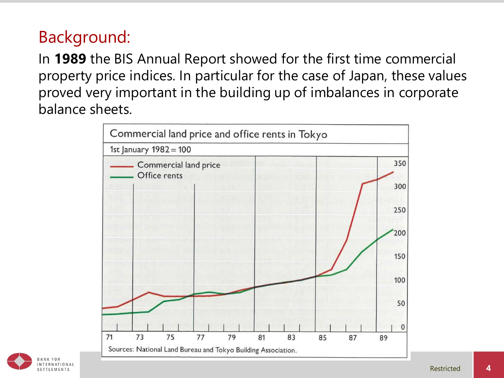In **1989** the BIS Annual Report showed for the first time commercial property price indices. In particular for the case of Japan, these values proved very important in the building up of imbalances in corporate balance sheets.



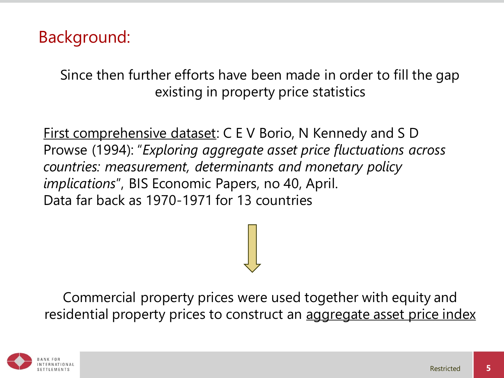Since then further efforts have been made in order to fill the gap existing in property price statistics

First comprehensive dataset: C E V Borio, N Kennedy and S D Prowse (1994): "*Exploring aggregate asset price fluctuations across countries: measurement, determinants and monetary policy implications*", BIS Economic Papers, no 40, April. Data far back as 1970-1971 for 13 countries

Commercial property prices were used together with equity and residential property prices to construct an aggregate asset price index

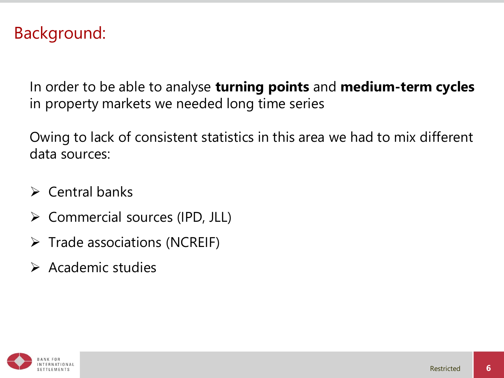In order to be able to analyse **turning points** and **medium-term cycles**  in property markets we needed long time series

Owing to lack of consistent statistics in this area we had to mix different data sources:

- $\triangleright$  Central banks
- $\triangleright$  Commercial sources (IPD, JLL)
- $\triangleright$  Trade associations (NCREIF)
- $\triangleright$  Academic studies

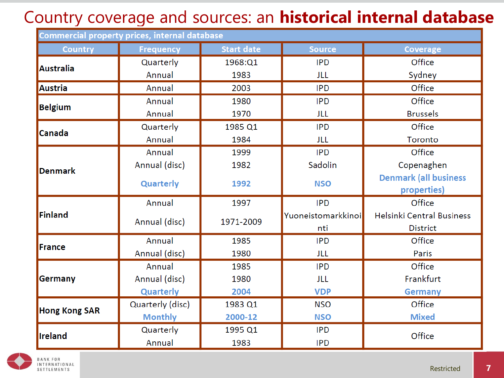## Country coverage and sources: an **historical internal database**

| <b>Commercial property prices, internal database</b> |                  |                   |                    |                                  |  |  |  |
|------------------------------------------------------|------------------|-------------------|--------------------|----------------------------------|--|--|--|
| <b>Country</b>                                       | <b>Frequency</b> | <b>Start date</b> | <b>Source</b>      | <b>Coverage</b>                  |  |  |  |
| <b>Australia</b>                                     | Quarterly        | 1968:Q1           | <b>IPD</b>         | Office                           |  |  |  |
|                                                      | Annual           | 1983              | JLL                | Sydney                           |  |  |  |
| Austria                                              | Annual           | 2003              | <b>IPD</b>         | Office                           |  |  |  |
| <b>Belgium</b>                                       | Annual           | 1980              | <b>IPD</b>         | Office                           |  |  |  |
|                                                      | Annual           | 1970              | JLL                | <b>Brussels</b>                  |  |  |  |
| Canada                                               | Quarterly        | 1985 Q1           | <b>IPD</b>         | Office                           |  |  |  |
|                                                      | Annual           | 1984              | JLL                | Toronto                          |  |  |  |
|                                                      | Annual           | 1999              | <b>IPD</b>         | Office                           |  |  |  |
| <b>Denmark</b>                                       | Annual (disc)    | 1982              | Sadolin            | Copenaghen                       |  |  |  |
|                                                      | <b>Quarterly</b> | 1992              | <b>NSO</b>         | <b>Denmark (all business</b>     |  |  |  |
|                                                      |                  |                   |                    | properties)                      |  |  |  |
|                                                      | Annual           | 1997              | <b>IPD</b>         | Office                           |  |  |  |
| Finland                                              | Annual (disc)    | 1971-2009         | Yuoneistomarkkinoi | <b>Helsinki Central Business</b> |  |  |  |
|                                                      |                  |                   | nti                | <b>District</b>                  |  |  |  |
| France                                               | Annual           | 1985              | <b>IPD</b>         | Office                           |  |  |  |
|                                                      | Annual (disc)    | 1980              | JLL                | Paris                            |  |  |  |
| Germany                                              | Annual           | 1985              | <b>IPD</b>         | Office                           |  |  |  |
|                                                      | Annual (disc)    | 1980              | <b>JLL</b>         | Frankfurt                        |  |  |  |
|                                                      | Quarterly        | 2004              | <b>VDP</b>         | <b>Germany</b>                   |  |  |  |
| <b>Hong Kong SAR</b>                                 | Quarterly (disc) | 1983 Q1           | <b>NSO</b>         | Office                           |  |  |  |
|                                                      | <b>Monthly</b>   | 2000-12           | <b>NSO</b>         | <b>Mixed</b>                     |  |  |  |
| Ireland                                              | Quarterly        | 1995 Q1           | <b>IPD</b>         | Office                           |  |  |  |
|                                                      | Annual           | 1983              | <b>IPD</b>         |                                  |  |  |  |

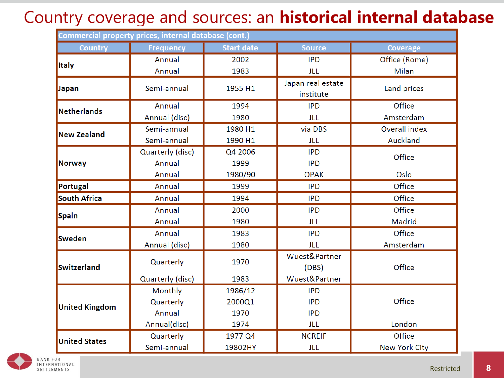#### Country coverage and sources: an **historical internal database**

| Commercial property prices, internal database (cont.) |                  |                   |                                |                      |  |  |  |
|-------------------------------------------------------|------------------|-------------------|--------------------------------|----------------------|--|--|--|
| <b>Country</b>                                        | <b>Frequency</b> | <b>Start date</b> | <b>Source</b>                  | <b>Coverage</b>      |  |  |  |
| <b>Italy</b>                                          | Annual           | 2002              | <b>IPD</b>                     | Office (Rome)        |  |  |  |
|                                                       | Annual           | 1983              | JLL                            | Milan                |  |  |  |
| Japan                                                 | Semi-annual      | 1955 H1           | Japan real estate<br>institute | Land prices          |  |  |  |
| Netherlands                                           | Annual           | 1994              | <b>IPD</b>                     | Office               |  |  |  |
|                                                       | Annual (disc)    | 1980              | JLL                            | Amsterdam            |  |  |  |
| <b>New Zealand</b>                                    | Semi-annual      | 1980 H1           | via DBS                        | Overall index        |  |  |  |
|                                                       | Semi-annual      | 1990 H1           | JLL                            | Auckland             |  |  |  |
|                                                       | Quarterly (disc) | Q4 2006           | <b>IPD</b>                     | Office               |  |  |  |
| Norway                                                | Annual           | 1999              | <b>IPD</b>                     |                      |  |  |  |
|                                                       | Annual           | 1980/90           | <b>OPAK</b>                    | Oslo                 |  |  |  |
| Portugal                                              | Annual           | 1999              | <b>IPD</b>                     | Office               |  |  |  |
| <b>South Africa</b>                                   | Annual           | 1994              | <b>IPD</b>                     | Office               |  |  |  |
|                                                       | Annual           | 2000              | <b>IPD</b>                     | Office               |  |  |  |
| <b>Spain</b>                                          | Annual           | 1980              | JLL                            | Madrid               |  |  |  |
| <b>Sweden</b>                                         | Annual           | 1983              | <b>IPD</b>                     | Office               |  |  |  |
|                                                       | Annual (disc)    | 1980              | JLL                            | Amsterdam            |  |  |  |
| Switzerland                                           | Quarterly        | 1970              | Wuest&Partner                  |                      |  |  |  |
|                                                       |                  |                   | (DBS)                          | Office               |  |  |  |
|                                                       | Quarterly (disc) | 1983              | Wuest&Partner                  |                      |  |  |  |
| <b>United Kingdom</b>                                 | Monthly          | 1986/12           | <b>IPD</b>                     |                      |  |  |  |
|                                                       | Quarterly        | 2000Q1            | <b>IPD</b>                     | Office               |  |  |  |
|                                                       | Annual           | 1970              | <b>IPD</b>                     |                      |  |  |  |
|                                                       | Annual(disc)     | 1974              | <b>JLL</b>                     | London               |  |  |  |
| <b>United States</b>                                  | Quarterly        | 1977 Q4           | <b>NCREIF</b>                  | Office               |  |  |  |
|                                                       | Semi-annual      | 19802HY           | JLL                            | <b>New York City</b> |  |  |  |

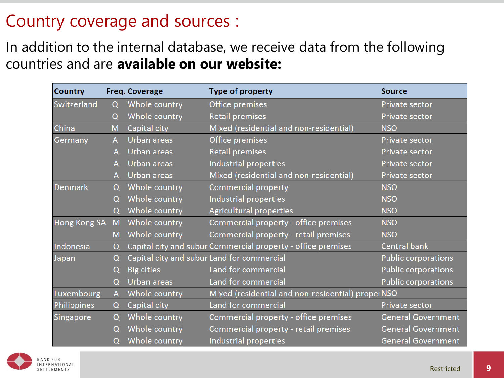#### Country coverage and sources :

In addition to the internal database, we receive data from the following countries and are **available on our website:**

| <b>Country</b>      |          | <b>Freq. Coverage</b> | <b>Type of property</b>                                      | <b>Source</b>              |
|---------------------|----------|-----------------------|--------------------------------------------------------------|----------------------------|
| Switzerland         | Q        | Whole country         | Office premises                                              | Private sector             |
|                     | $\Omega$ | Whole country         | <b>Retail premises</b>                                       | Private sector             |
| China               | M        | Capital city          | Mixed (residential and non-residential)                      | <b>NSO</b>                 |
| Germany             | A        | Urban areas           | Office premises                                              | Private sector             |
|                     | Α        | Urban areas           | <b>Retail premises</b>                                       | Private sector             |
|                     | А        | Urban areas           | Industrial properties                                        | Private sector             |
|                     | А        | Urban areas           | Mixed (residential and non-residential)                      | Private sector             |
| <b>Denmark</b>      | $\Omega$ | Whole country         | <b>Commercial property</b>                                   | <b>NSO</b>                 |
|                     | O        | Whole country         | Industrial properties                                        | <b>NSO</b>                 |
|                     | $\Omega$ | Whole country         | <b>Agricultural properties</b>                               | <b>NSO</b>                 |
| <b>Hong Kong SA</b> | M        | Whole country         | Commercial property - office premises                        | <b>NSO</b>                 |
|                     | M        | Whole country         | Commercial property - retail premises                        | <b>NSO</b>                 |
| Indonesia           | $\Omega$ |                       | Capital city and subur Commercial property - office premises | <b>Central bank</b>        |
| Japan               | Q        |                       | Capital city and subur Land for commercial                   | Public corporations        |
|                     | Q        | <b>Big cities</b>     | Land for commercial                                          | Public corporations        |
|                     | $\Omega$ | Urban areas           | Land for commercial                                          | <b>Public corporations</b> |
| Luxembourg          | A        | Whole country         | Mixed (residential and non-residential) propel NSO           |                            |
| Philippines         | Q        | Capital city          | Land for commercial                                          | Private sector             |
| Singapore           | $\Omega$ | Whole country         | Commercial property - office premises                        | <b>General Government</b>  |
|                     | O        | Whole country         | Commercial property - retail premises                        | <b>General Government</b>  |
|                     | $\Omega$ | Whole country         | Industrial properties                                        | <b>General Government</b>  |

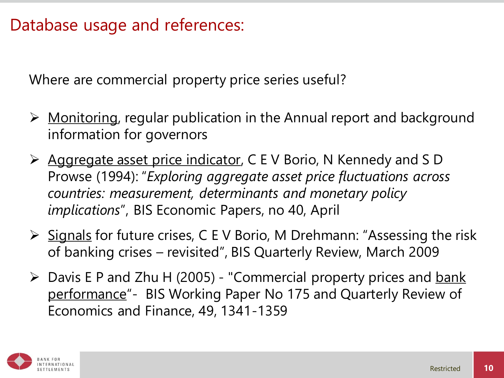Where are commercial property price series useful?

- $\triangleright$  Monitoring, regular publication in the Annual report and background information for governors
- **EXAGUREE 25 Aggregate asset price indicator, C E V Borio, N Kennedy and S D** Prowse (1994): "*Exploring aggregate asset price fluctuations across countries: measurement, determinants and monetary policy implications*", BIS Economic Papers, no 40, April
- $\triangleright$  Signals for future crises, C E V Borio, M Drehmann: "Assessing the risk of banking crises – revisited", BIS Quarterly Review, March 2009
- $\triangleright$  Davis E P and Zhu H (2005) "Commercial property prices and bank performance"- BIS Working Paper No 175 and Quarterly Review of Economics and Finance, 49, 1341-1359

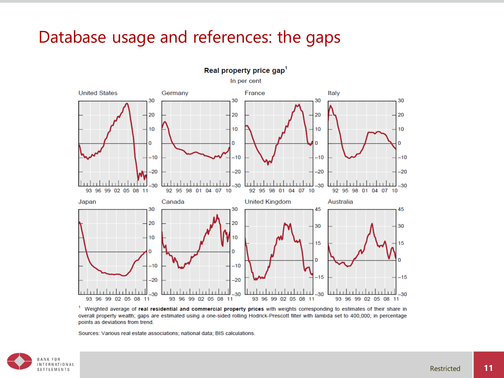#### Database usage and references: the gaps



<sup>1</sup> Weighted average of real residential and commercial property prices with weights corresponding to estimates of their share in overall property wealth; gaps are estimated using a one-sided rolling Hodrick-Prescott filter with lambda set to 400,000; in percentage points as deviations from trend.

Sources: Various real estate associations; national data; BIS calculations.

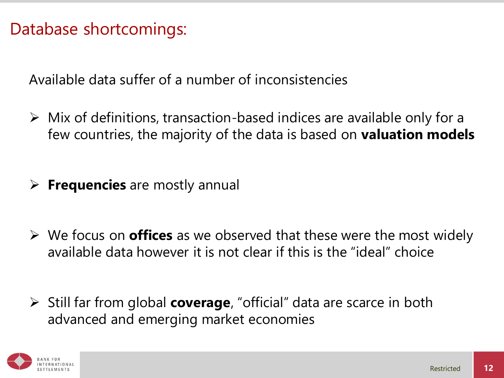#### Database shortcomings:

Available data suffer of a number of inconsistencies

- $\triangleright$  Mix of definitions, transaction-based indices are available only for a few countries, the majority of the data is based on **valuation models**
- **Frequencies** are mostly annual
- We focus on **offices** as we observed that these were the most widely available data however it is not clear if this is the "ideal" choice
- Still far from global **coverage**, "official" data are scarce in both advanced and emerging market economies

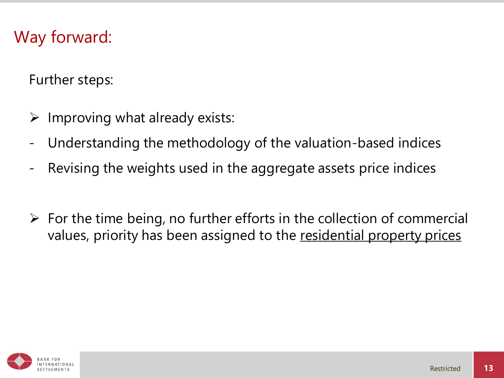#### Way forward:

Further steps:

- $\triangleright$  Improving what already exists:
- Understanding the methodology of the valuation-based indices
- Revising the weights used in the aggregate assets price indices
- $\triangleright$  For the time being, no further efforts in the collection of commercial values, priority has been assigned to the residential property prices

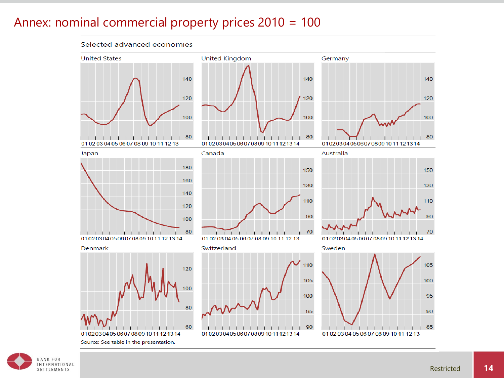#### Annex: nominal commercial property prices 2010 = 100

Selected advanced economies

#### **United Kingdom United States** Germany 140 140 140 120 120 120 100 100 100 80 80 80 . . . . . . . . . . .  $\blacksquare$ т. п. 01 02 03 04 05 06 07 08 09 10 11 12 13 0102030405060708091011121314 0102030405060708091011121314 Canada Australia Japan 180 150 150 160 130 130 140 110 110 120 90 90 100 80 70 70 . . . . . . . .  $-1$  1  $-1$  1  $-1$  $1 - 1 - 1$ -11 01 02 03 04 05 06 07 08 09 10 11 12 13 14 01 02 03 04 05 06 07 08 09 10 11 12 13 0102030405060708091011121314 Switzerland Sweden Denmark 110 105 120 105 100 00 100 95 80 95 90 60 90 85 . . . . . . .  $\perp$ -1 1 1 1 1 1 1 1 1  $\mathbf{I}$  $\mathbf{I}$  $\begin{array}{ccc} & & & & \\ \end{array}$ 0102030405060708091011121314 0102030405060708091011121314 01 02 03 04 05 06 07 08 09 10 11 12 13 Source: See table in the presentation.